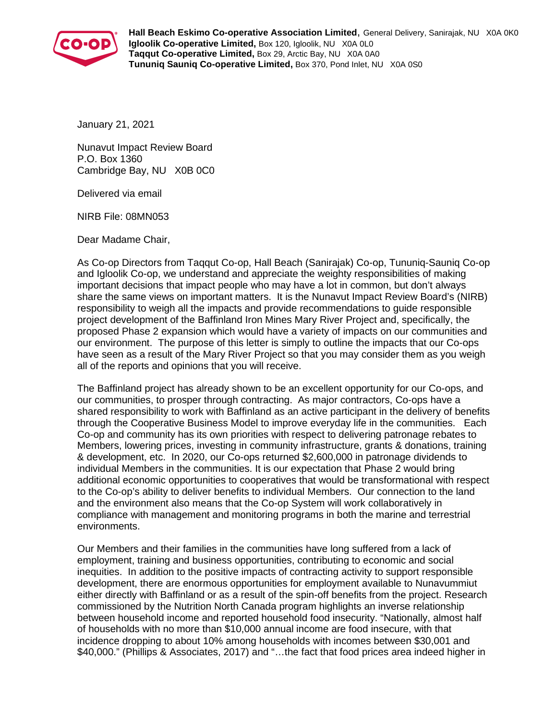

**Hall Beach Eskimo Co-operative Association Limited**, General Delivery, Sanirajak, NU X0A 0K0 **Igloolik Co-operative Limited,** Box 120, Igloolik, NU X0A 0L0 **Taqqut Co-operative Limited,** Box 29, Arctic Bay, NU X0A 0A0 **Tununiq Sauniq Co-operative Limited,** Box 370, Pond Inlet, NU X0A 0S0

January 21, 2021

Nunavut Impact Review Board P.O. Box 1360 Cambridge Bay, NU X0B 0C0

Delivered via email

NIRB File: 08MN053

Dear Madame Chair,

As Co-op Directors from Taqqut Co-op, Hall Beach (Sanirajak) Co-op, Tununiq-Sauniq Co-op and Igloolik Co-op, we understand and appreciate the weighty responsibilities of making important decisions that impact people who may have a lot in common, but don't always share the same views on important matters. It is the Nunavut Impact Review Board's (NIRB) responsibility to weigh all the impacts and provide recommendations to guide responsible project development of the Baffinland Iron Mines Mary River Project and, specifically, the proposed Phase 2 expansion which would have a variety of impacts on our communities and our environment. The purpose of this letter is simply to outline the impacts that our Co-ops have seen as a result of the Mary River Project so that you may consider them as you weigh all of the reports and opinions that you will receive.

The Baffinland project has already shown to be an excellent opportunity for our Co-ops, and our communities, to prosper through contracting. As major contractors, Co-ops have a shared responsibility to work with Baffinland as an active participant in the delivery of benefits through the Cooperative Business Model to improve everyday life in the communities. Each Co-op and community has its own priorities with respect to delivering patronage rebates to Members, lowering prices, investing in community infrastructure, grants & donations, training & development, etc. In 2020, our Co-ops returned \$2,600,000 in patronage dividends to individual Members in the communities. It is our expectation that Phase 2 would bring additional economic opportunities to cooperatives that would be transformational with respect to the Co-op's ability to deliver benefits to individual Members. Our connection to the land and the environment also means that the Co-op System will work collaboratively in compliance with management and monitoring programs in both the marine and terrestrial environments.

Our Members and their families in the communities have long suffered from a lack of employment, training and business opportunities, contributing to economic and social inequities. In addition to the positive impacts of contracting activity to support responsible development, there are enormous opportunities for employment available to Nunavummiut either directly with Baffinland or as a result of the spin-off benefits from the project. Research commissioned by the Nutrition North Canada program highlights an inverse relationship between household income and reported household food insecurity. "Nationally, almost half of households with no more than \$10,000 annual income are food insecure, with that incidence dropping to about 10% among households with incomes between \$30,001 and \$40,000." (Phillips & Associates, 2017) and "…the fact that food prices area indeed higher in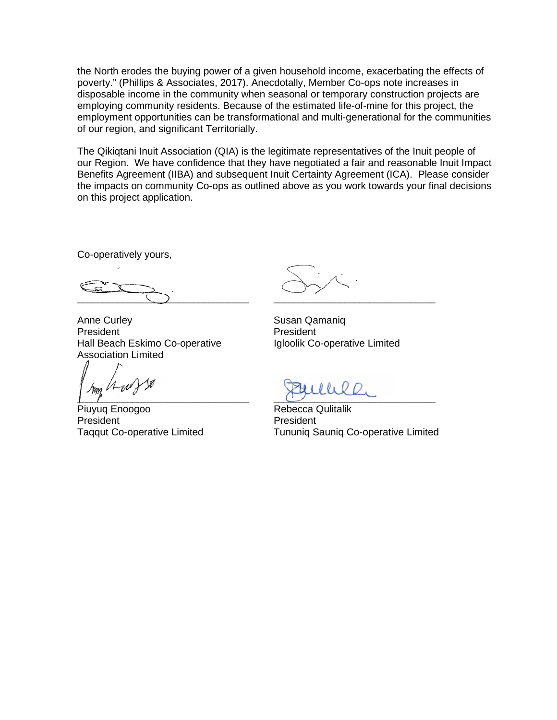the North erodes the buying power of a given household income, exacerbating the effects of poverty." (Phillips & Associates, 2017). Anecdotally, Member Co-ops note increases in disposable income in the community when seasonal or temporary construction projects are employing community residents. Because of the estimated life-of-mine for this project, the employment opportunities can be transformational and multi-generational for the communities of our region, and significant Territorially.

The Qikiqtani Inuit Association (QIA) is the legitimate representatives of the Inuit people of our Region. We have confidence that they have negotiated a fair and reasonable Inuit Impact Benefits Agreement (IIBA) and subsequent Inuit Certainty Agreement (ICA). Please consider the impacts on community Co-ops as outlined above as you work towards your final decisions on this project application.

Co-operatively yours,

\_\_\_\_\_\_\_\_\_\_\_\_\_\_\_\_\_\_\_\_\_\_\_\_\_\_\_\_\_\_\_\_\_\_ \_\_\_\_\_\_\_\_\_\_\_\_\_\_\_\_\_\_\_\_\_\_\_\_\_\_\_\_\_\_\_\_

Anne Curley **Susan Qamaniq** President President Hall Beach Eskimo Co-operative Igloolik Co-operative Limited Association Limited

Piuyuq Enoogoo **Rebecca Qulitalik** President **President** President

 $\frac{1}{2}$  ,  $\frac{1}{2}$  ,  $\frac{1}{2}$  ,  $\frac{1}{2}$  ,  $\frac{1}{2}$  ,  $\frac{1}{2}$  ,  $\frac{1}{2}$  ,  $\frac{1}{2}$  ,  $\frac{1}{2}$  ,  $\frac{1}{2}$  ,  $\frac{1}{2}$  ,  $\frac{1}{2}$  ,  $\frac{1}{2}$  ,  $\frac{1}{2}$  ,  $\frac{1}{2}$  ,  $\frac{1}{2}$  ,  $\frac{1}{2}$  ,  $\frac{1}{2}$  ,  $\frac{1$ 

Taqqut Co-operative Limited Tununiq Sauniq Co-operative Limited